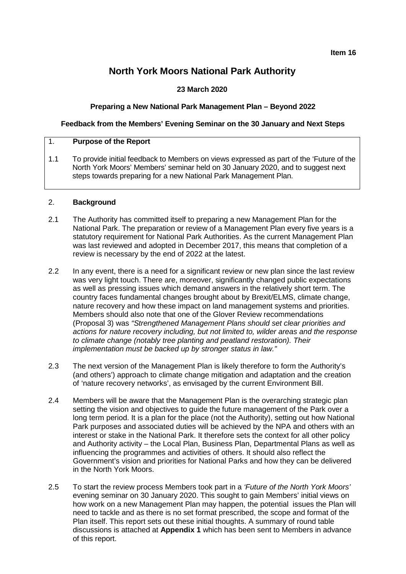# **North York Moors National Park Authority**

# **23 March 2020**

# **Preparing a New National Park Management Plan – Beyond 2022**

# **Feedback from the Members' Evening Seminar on the 30 January and Next Steps**

# 1. **Purpose of the Report**

1.1 To provide initial feedback to Members on views expressed as part of the 'Future of the North York Moors' Members' seminar held on 30 January 2020, and to suggest next steps towards preparing for a new National Park Management Plan.

# 2. **Background**

- 2.1 The Authority has committed itself to preparing a new Management Plan for the National Park. The preparation or review of a Management Plan every five years is a statutory requirement for National Park Authorities. As the current Management Plan was last reviewed and adopted in December 2017, this means that completion of a review is necessary by the end of 2022 at the latest.
- 2.2 In any event, there is a need for a significant review or new plan since the last review was very light touch. There are, moreover, significantly changed public expectations as well as pressing issues which demand answers in the relatively short term. The country faces fundamental changes brought about by Brexit/ELMS, climate change, nature recovery and how these impact on land management systems and priorities. Members should also note that one of the Glover Review recommendations (Proposal 3) was *"Strengthened Management Plans should set clear priorities and actions for nature recovery including, but not limited to, wilder areas and the response to climate change (notably tree planting and peatland restoration). Their implementation must be backed up by stronger status in law."*
- 2*.*3 The next version of the Management Plan is likely therefore to form the Authority's (and others') approach to climate change mitigation and adaptation and the creation of 'nature recovery networks', as envisaged by the current Environment Bill.
- 2.4 Members will be aware that the Management Plan is the overarching strategic plan setting the vision and objectives to guide the future management of the Park over a long term period. It is a plan for the place (not the Authority), setting out how National Park purposes and associated duties will be achieved by the NPA and others with an interest or stake in the National Park. It therefore sets the context for all other policy and Authority activity – the Local Plan, Business Plan, Departmental Plans as well as influencing the programmes and activities of others. It should also reflect the Government's vision and priorities for National Parks and how they can be delivered in the North York Moors.
- 2.5 To start the review process Members took part in a *'Future of the North York Moors'* evening seminar on 30 January 2020. This sought to gain Members' initial views on how work on a new Management Plan may happen, the potential issues the Plan will need to tackle and as there is no set format prescribed, the scope and format of the Plan itself. This report sets out these initial thoughts. A summary of round table discussions is attached at **Appendix 1** which has been sent to Members in advance of this report.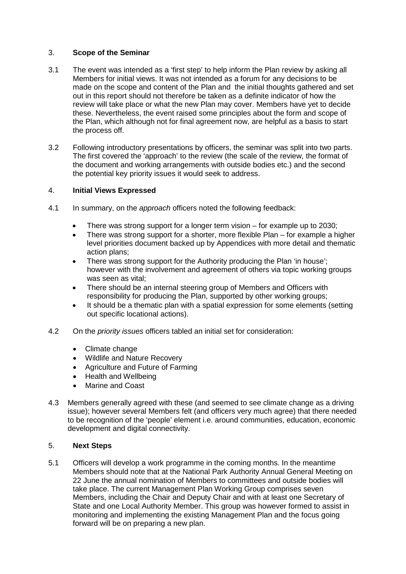# 3. **Scope of the Seminar**

- 3.1 The event was intended as a 'first step' to help inform the Plan review by asking all Members for initial views. It was not intended as a forum for any decisions to be made on the scope and content of the Plan and the initial thoughts gathered and set out in this report should not therefore be taken as a definite indicator of how the review will take place or what the new Plan may cover. Members have yet to decide these. Nevertheless, the event raised some principles about the form and scope of the Plan, which although not for final agreement now, are helpful as a basis to start the process off.
- 3.2 Following introductory presentations by officers, the seminar was split into two parts. The first covered the 'approach' to the review (the scale of the review, the format of the document and working arrangements with outside bodies etc.) and the second the potential key priority issues it would seek to address.

# 4. **Initial Views Expressed**

- 4.1 In summary, on the *approach* officers noted the following feedback:
	- There was strong support for a longer term vision for example up to 2030;
	- There was strong support for a shorter, more flexible Plan for example a higher level priorities document backed up by Appendices with more detail and thematic action plans;
	- There was strong support for the Authority producing the Plan 'in house'; however with the involvement and agreement of others via topic working groups was seen as vital;
	- There should be an internal steering group of Members and Officers with responsibility for producing the Plan, supported by other working groups;
	- It should be a thematic plan with a spatial expression for some elements (setting out specific locational actions).
- 4.2 On the *priority issues* officers tabled an initial set for consideration:
	- Climate change
	- Wildlife and Nature Recovery
	- Agriculture and Future of Farming
	- Health and Wellbeing
	- Marine and Coast
- 4.3 Members generally agreed with these (and seemed to see climate change as a driving issue); however several Members felt (and officers very much agree) that there needed to be recognition of the 'people' element i.e. around communities, education, economic development and digital connectivity.

# 5. **Next Steps**

5.1 Officers will develop a work programme in the coming months. In the meantime Members should note that at the National Park Authority Annual General Meeting on 22 June the annual nomination of Members to committees and outside bodies will take place. The current Management Plan Working Group comprises seven Members, including the Chair and Deputy Chair and with at least one Secretary of State and one Local Authority Member. This group was however formed to assist in monitoring and implementing the existing Management Plan and the focus going forward will be on preparing a new plan.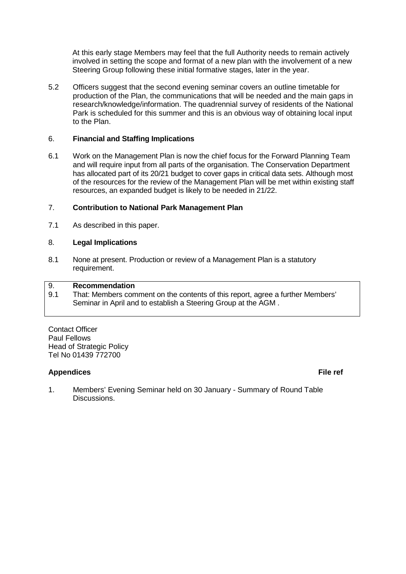At this early stage Members may feel that the full Authority needs to remain actively involved in setting the scope and format of a new plan with the involvement of a new Steering Group following these initial formative stages, later in the year.

5.2 Officers suggest that the second evening seminar covers an outline timetable for production of the Plan, the communications that will be needed and the main gaps in research/knowledge/information. The quadrennial survey of residents of the National Park is scheduled for this summer and this is an obvious way of obtaining local input to the Plan.

# 6. **Financial and Staffing Implications**

6.1 Work on the Management Plan is now the chief focus for the Forward Planning Team and will require input from all parts of the organisation. The Conservation Department has allocated part of its 20/21 budget to cover gaps in critical data sets. Although most of the resources for the review of the Management Plan will be met within existing staff resources, an expanded budget is likely to be needed in 21/22.

# 7. **Contribution to National Park Management Plan**

7.1 As described in this paper.

# 8. **Legal Implications**

8.1 None at present. Production or review of a Management Plan is a statutory requirement.

# 9. **Recommendation**<br>9.1 That: Members com

That: Members comment on the contents of this report, agree a further Members' Seminar in April and to establish a Steering Group at the AGM .

Contact Officer Paul Fellows Head of Strategic Policy Tel No 01439 772700

# **Appendices File ref**

1. Members' Evening Seminar held on 30 January - Summary of Round Table Discussions.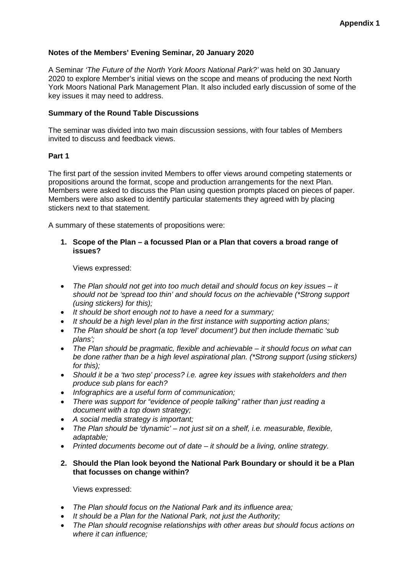# **Notes of the Members' Evening Seminar, 20 January 2020**

A Seminar *'The Future of the North York Moors National Park?'* was held on 30 January 2020 to explore Member's initial views on the scope and means of producing the next North York Moors National Park Management Plan. It also included early discussion of some of the key issues it may need to address.

### **Summary of the Round Table Discussions**

The seminar was divided into two main discussion sessions, with four tables of Members invited to discuss and feedback views.

### **Part 1**

The first part of the session invited Members to offer views around competing statements or propositions around the format, scope and production arrangements for the next Plan. Members were asked to discuss the Plan using question prompts placed on pieces of paper. Members were also asked to identify particular statements they agreed with by placing stickers next to that statement.

A summary of these statements of propositions were:

### **1. Scope of the Plan – a focussed Plan or a Plan that covers a broad range of issues?**

Views expressed:

- *The Plan should not get into too much detail and should focus on key issues – it should not be 'spread too thin' and should focus on the achievable (\*Strong support (using stickers) for this);*
- *It should be short enough not to have a need for a summary;*
- *It should be a high level plan in the first instance with supporting action plans;*
- *The Plan should be short (a top 'level' document') but then include thematic 'sub plans';*
- *The Plan should be pragmatic, flexible and achievable – it should focus on what can be done rather than be a high level aspirational plan. (\*Strong support (using stickers) for this);*
- *Should it be a 'two step' process? i.e. agree key issues with stakeholders and then produce sub plans for each?*
- *Infographics are a useful form of communication;*
- *There was support for "evidence of people talking" rather than just reading a document with a top down strategy;*
- *A social media strategy is important;*
- *The Plan should be 'dynamic' – not just sit on a shelf, i.e. measurable, flexible, adaptable;*
- *Printed documents become out of date – it should be a living, online strategy.*

# **2. Should the Plan look beyond the National Park Boundary or should it be a Plan that focusses on change within?**

Views expressed:

- *The Plan should focus on the National Park and its influence area;*
- *It should be a Plan for the National Park, not just the Authority;*
- *The Plan should recognise relationships with other areas but should focus actions on where it can influence;*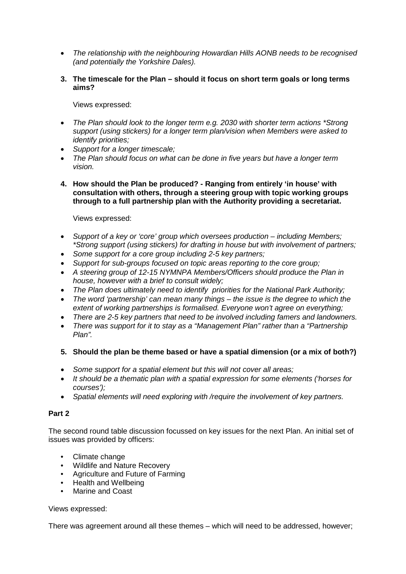- *The relationship with the neighbouring Howardian Hills AONB needs to be recognised (and potentially the Yorkshire Dales).*
- **3. The timescale for the Plan – should it focus on short term goals or long terms aims?**

Views expressed:

- *The Plan should look to the longer term e.g. 2030 with shorter term actions \*Strong support (using stickers) for a longer term plan/vision when Members were asked to identify priorities;*
- *Support for a longer timescale;*
- *The Plan should focus on what can be done in five years but have a longer term vision.*
- **4. How should the Plan be produced? - Ranging from entirely 'in house' with consultation with others, through a steering group with topic working groups through to a full partnership plan with the Authority providing a secretariat.**

Views expressed:

- *Support of a key or 'core' group which oversees production – including Members; \*Strong support (using stickers) for drafting in house but with involvement of partners;*
- *Some support for a core group including 2-5 key partners;*
- *Support for sub-groups focused on topic areas reporting to the core group;*
- A steering group of 12-15 NYMNPA Members/Officers should produce the Plan in *house, however with a brief to consult widely;*
- *The Plan does ultimately need to identify priorities for the National Park Authority;*
- *The word 'partnership' can mean many things – the issue is the degree to which the extent of working partnerships is formalised. Everyone won't agree on everything;*
- *There are 2-5 key partners that need to be involved including famers and landowners.*
- *There was support for it to stay as a "Management Plan" rather than a "Partnership Plan".*

# **5. Should the plan be theme based or have a spatial dimension (or a mix of both?)**

- *Some support for a spatial element but this will not cover all areas;*
- *It should be a thematic plan with a spatial expression for some elements ('horses for courses');*
- *Spatial elements will need exploring with /require the involvement of key partners.*

# **Part 2**

The second round table discussion focussed on key issues for the next Plan. An initial set of issues was provided by officers:

- Climate change
- Wildlife and Nature Recovery
- Agriculture and Future of Farming
- Health and Wellbeing
- Marine and Coast

# Views expressed:

There was agreement around all these themes – which will need to be addressed, however;